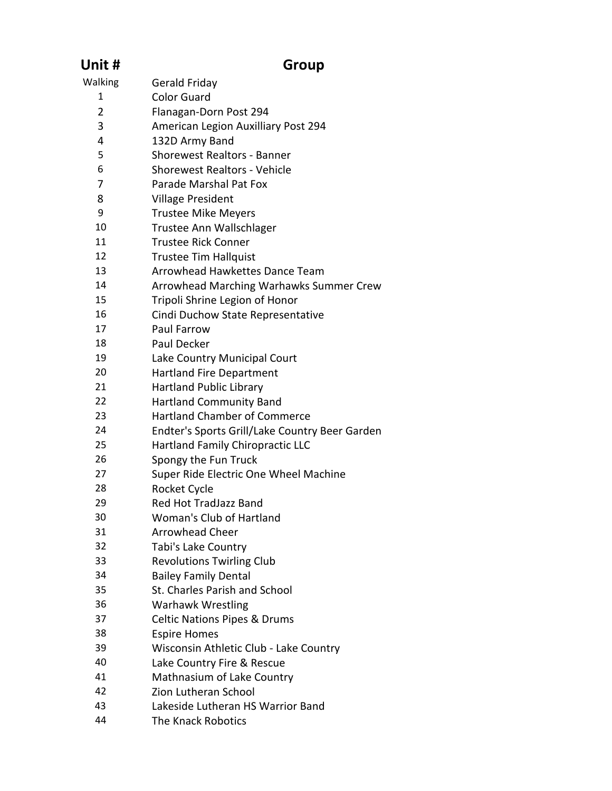| Unit #         | Group                                          |
|----------------|------------------------------------------------|
| Walking        | Gerald Friday                                  |
| 1              | <b>Color Guard</b>                             |
| $\overline{2}$ | Flanagan-Dorn Post 294                         |
| 3              | American Legion Auxilliary Post 294            |
| 4              | 132D Army Band                                 |
| 5              | <b>Shorewest Realtors - Banner</b>             |
| 6              | <b>Shorewest Realtors - Vehicle</b>            |
| 7              | Parade Marshal Pat Fox                         |
| 8              | <b>Village President</b>                       |
| 9              | <b>Trustee Mike Meyers</b>                     |
| 10             | Trustee Ann Wallschlager                       |
| 11             | <b>Trustee Rick Conner</b>                     |
| 12             | <b>Trustee Tim Hallquist</b>                   |
| 13             | Arrowhead Hawkettes Dance Team                 |
| 14             | Arrowhead Marching Warhawks Summer Crew        |
| 15             | Tripoli Shrine Legion of Honor                 |
| 16             | Cindi Duchow State Representative              |
| 17             | Paul Farrow                                    |
| 18             | Paul Decker                                    |
| 19             | Lake Country Municipal Court                   |
| 20             | <b>Hartland Fire Department</b>                |
| 21             | <b>Hartland Public Library</b>                 |
| 22             | <b>Hartland Community Band</b>                 |
| 23             | <b>Hartland Chamber of Commerce</b>            |
| 24             | Endter's Sports Grill/Lake Country Beer Garden |
| 25             | <b>Hartland Family Chiropractic LLC</b>        |
| 26             | Spongy the Fun Truck                           |
| 27             | Super Ride Electric One Wheel Machine          |
| 28             | Rocket Cycle                                   |
| 29             | Red Hot TradJazz Band                          |
| 30             | Woman's Club of Hartland                       |
| 31             | <b>Arrowhead Cheer</b>                         |
| 32             | Tabi's Lake Country                            |
| 33             | <b>Revolutions Twirling Club</b>               |
| 34             | <b>Bailey Family Dental</b>                    |
| 35             | St. Charles Parish and School                  |
| 36             | <b>Warhawk Wrestling</b>                       |
| 37             | <b>Celtic Nations Pipes &amp; Drums</b>        |
| 38             | <b>Espire Homes</b>                            |
| 39             | Wisconsin Athletic Club - Lake Country         |
| 40             | Lake Country Fire & Rescue                     |
| 41             | Mathnasium of Lake Country                     |
| 42             | Zion Lutheran School                           |
| 43             | Lakeside Lutheran HS Warrior Band              |
| 44             | The Knack Robotics                             |